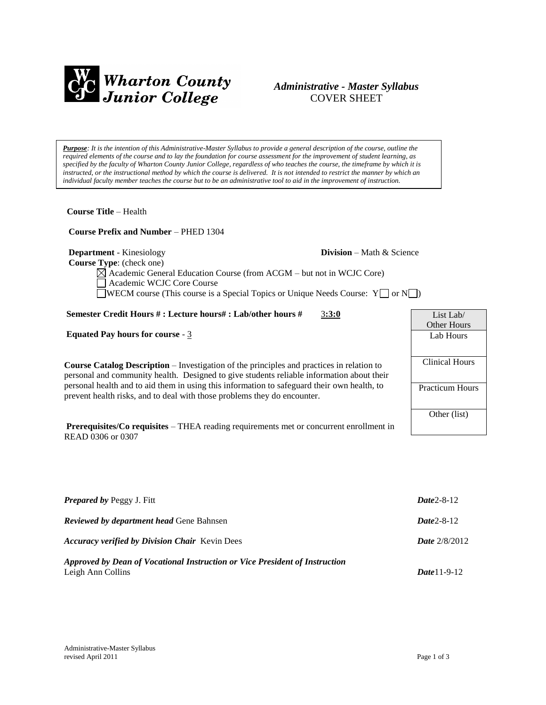

# *Administrative - Master Syllabus*  COVER SHEET

*Purpose: It is the intention of this Administrative-Master Syllabus to provide a general description of the course, outline the required elements of the course and to lay the foundation for course assessment for the improvement of student learning, as specified by the faculty of Wharton County Junior College, regardless of who teaches the course, the timeframe by which it is instructed, or the instructional method by which the course is delivered. It is not intended to restrict the manner by which an individual faculty member teaches the course but to be an administrative tool to aid in the improvement of instruction.*

**Course Title** – Health

 **Course Prefix and Number** – PHED 1304

**Department** - Kinesiology **Division** – Math & Science

 **Course Type**: (check one)

Academic General Education Course (from ACGM – but not in WCJC Core) Academic WCJC Core Course  $\Box$ WECM course (This course is a Special Topics or Unique Needs Course: Y $\Box$  or N $\Box$ )

#### **Semester Credit Hours # : Lecture hours# : Lab/other hours #** 3**:3:0**

**Equated Pay hours for course** - 3

**Course Catalog Description** – Investigation of the principles and practices in relation to personal and community health. Designed to give students reliable information about their personal health and to aid them in using this information to safeguard their own health, to prevent health risks, and to deal with those problems they do encounter.

**Prerequisites/Co requisites** – THEA reading requirements met or concurrent enrollment in READ 0306 or 0307

| List Lab $/$           |
|------------------------|
| Other Hours            |
| Lab Hours              |
|                        |
| <b>Clinical Hours</b>  |
|                        |
| <b>Practicum Hours</b> |
|                        |
| Other (list)           |
|                        |

| <b>Prepared by Peggy J. Fitt</b>                                                                 | $Date2 - 8 - 12$       |
|--------------------------------------------------------------------------------------------------|------------------------|
| <b>Reviewed by department head Gene Bahnsen</b>                                                  | $Date2 - 8 - 12$       |
| <b>Accuracy verified by Division Chair</b> Kevin Dees                                            | <b>Date</b> $2/8/2012$ |
| Approved by Dean of Vocational Instruction or Vice President of Instruction<br>Leigh Ann Collins | $Date 11 - 9 - 12$     |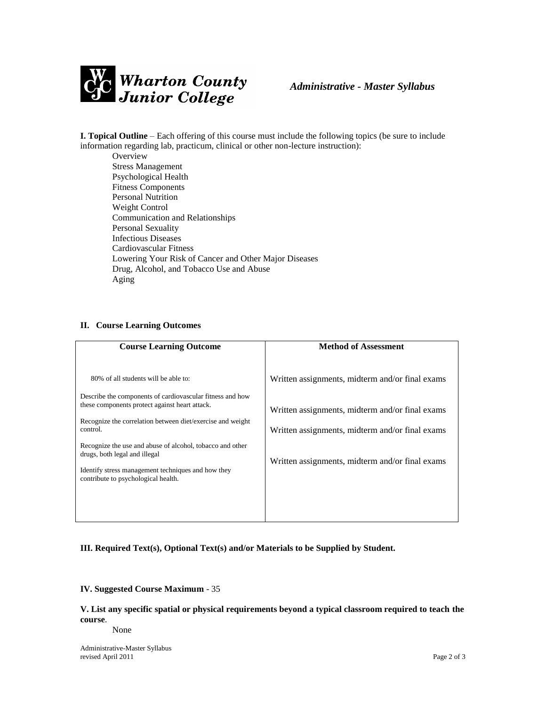

**I. Topical Outline** – Each offering of this course must include the following topics (be sure to include information regarding lab, practicum, clinical or other non-lecture instruction):

**Overview** Stress Management Psychological Health Fitness Components Personal Nutrition Weight Control Communication and Relationships Personal Sexuality Infectious Diseases Cardiovascular Fitness Lowering Your Risk of Cancer and Other Major Diseases Drug, Alcohol, and Tobacco Use and Abuse Aging

#### **II. Course Learning Outcomes**

| 80% of all students will be able to:<br>Written assignments, midterm and/or final exams                                                                                                                                                                                                                                                                                                                                                                                                                                                   | <b>Course Learning Outcome</b> | <b>Method of Assessment</b> |
|-------------------------------------------------------------------------------------------------------------------------------------------------------------------------------------------------------------------------------------------------------------------------------------------------------------------------------------------------------------------------------------------------------------------------------------------------------------------------------------------------------------------------------------------|--------------------------------|-----------------------------|
| Describe the components of cardiovascular fitness and how<br>these components protect against heart attack.<br>Written assignments, midterm and/or final exams<br>Recognize the correlation between diet/exercise and weight<br>control.<br>Written assignments, midterm and/or final exams<br>Recognize the use and abuse of alcohol, tobacco and other<br>drugs, both legal and illegal<br>Written assignments, midterm and/or final exams<br>Identify stress management techniques and how they<br>contribute to psychological health. |                                |                             |

## **III. Required Text(s), Optional Text(s) and/or Materials to be Supplied by Student.**

#### **IV. Suggested Course Maximum** - 35

**V. List any specific spatial or physical requirements beyond a typical classroom required to teach the course**.

None